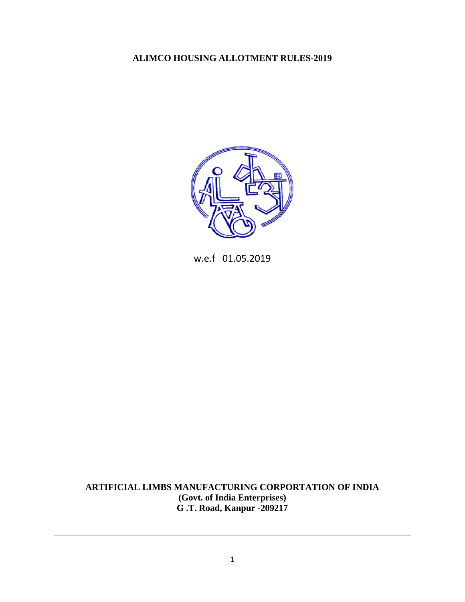## **ALIMCO HOUSING ALLOTMENT RULES-2019**



w.e.f 01.05.2019

**ARTIFICIAL LIMBS MANUFACTURING CORPORTATION OF INDIA (Govt. of India Enterprises) G .T. Road, Kanpur -209217**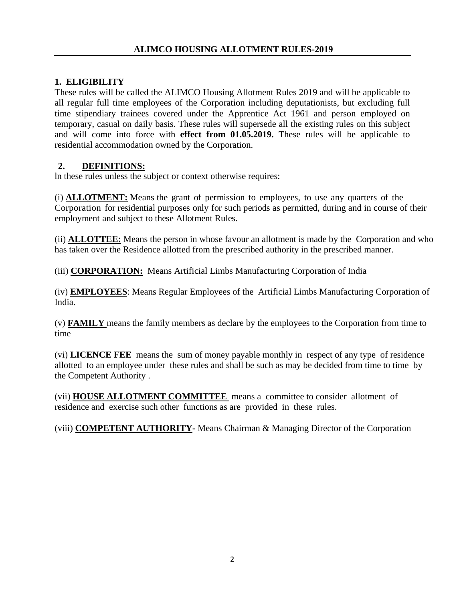## **1. ELIGIBILITY**

These rules will be called the ALIMCO Housing Allotment Rules 2019 and will be applicable to all regular full time employees of the Corporation including deputationists, but excluding full time stipendiary trainees covered under the Apprentice Act 1961 and person employed on temporary, casual on daily basis. These rules will supersede all the existing rules on this subject and will come into force with **effect from 01.05.2019.** These rules will be applicable to residential accommodation owned by the Corporation.

## **2. DEFINITIONS:**

ln these rules unless the subject or context otherwise requires:

(i) **ALLOTMENT:** Means the grant of permission to employees, to use any quarters of the Corporation for residential purposes only for such periods as permitted, during and in course of their employment and subject to these Allotment Rules.

(ii) **ALLOTTEE:** Means the person in whose favour an allotment is made by the Corporation and who has taken over the Residence allotted from the prescribed authority in the prescribed manner.

(iii) **CORPORATION:** Means Artificial Limbs Manufacturing Corporation of India

(iv) **EMPLOYEES**: Means Regular Employees of the Artificial Limbs Manufacturing Corporation of India.

(v) **FAMILY** means the family members as declare by the employees to the Corporation from time to time

(vi) **LICENCE FEE** means the sum of money payable monthly in respect of any type of residence allotted to an employee under these rules and shall be such as may be decided from time to time by the Competent Authority .

(vii) **HOUSE ALLOTMENT COMMITTEE** means a committee to consider allotment of residence and exercise such other functions as are provided in these rules.

(viii) **COMPETENT AUTHORITY-** Means Chairman & Managing Director of the Corporation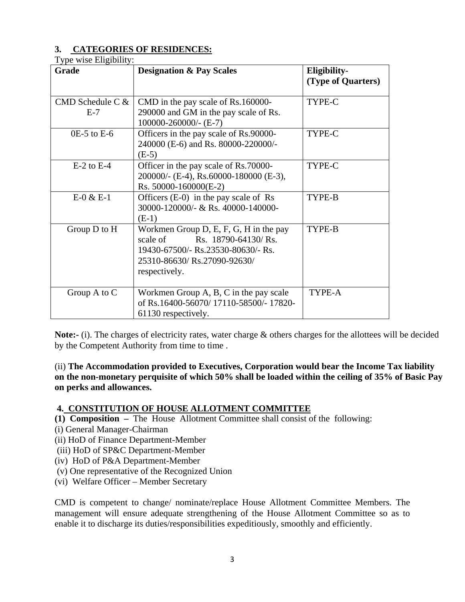#### **3. CATEGORIES OF RESIDENCES:**  Type wise Eligibility:

| Grade                       | <b>Designation &amp; Pay Scales</b>                                                                                                                              | Eligibility-<br>(Type of Quarters) |
|-----------------------------|------------------------------------------------------------------------------------------------------------------------------------------------------------------|------------------------------------|
| CMD Schedule C $&$<br>$E-7$ | CMD in the pay scale of Rs.160000-<br>290000 and GM in the pay scale of Rs.<br>100000-260000/- (E-7)                                                             | TYPE-C                             |
| $0E-5$ to $E-6$             | Officers in the pay scale of Rs.90000-<br>240000 (E-6) and Rs. 80000-220000/-<br>$(E-5)$                                                                         | TYPE-C                             |
| $E-2$ to $E-4$              | Officer in the pay scale of Rs.70000-<br>200000/- (E-4), Rs.60000-180000 (E-3),<br>Rs. $50000 - 160000$ (E-2)                                                    | TYPE-C                             |
| $E-0 & E-1$                 | Officers $(E-0)$ in the pay scale of Rs<br>30000-120000/- & Rs. 40000-140000-<br>$(E-1)$                                                                         | TYPE-B                             |
| Group D to H                | Workmen Group D, E, F, G, H in the pay<br>scale of<br>Rs. 18790-64130/Rs.<br>19430-67500/- Rs.23530-80630/- Rs.<br>25310-86630/ Rs.27090-92630/<br>respectively. | TYPE-B                             |
| Group $A$ to $C$            | Workmen Group A, B, C in the pay scale<br>of Rs.16400-56070/17110-58500/-17820-<br>61130 respectively.                                                           | TYPE-A                             |

**Note:-** (i). The charges of electricity rates, water charge & others charges for the allottees will be decided by the Competent Authority from time to time .

(ii) **The Accommodation provided to Executives, Corporation would bear the Income Tax liability on the non-monetary perquisite of which 50% shall be loaded within the ceiling of 35% of Basic Pay on perks and allowances.**

#### **4. CONSTITUTION OF HOUSE ALLOTMENT COMMITTEE**

- **(1) Composition –** The House Allotment Committee shall consist of the following:
- (i) General Manager-Chairman
- (ii) HoD of Finance Department-Member
- (iii) HoD of SP&C Department-Member
- (iv) HoD of P&A Department-Member
- (v) One representative of the Recognized Union
- (vi) Welfare Officer Member Secretary

CMD is competent to change/ nominate/replace House Allotment Committee Members. The management will ensure adequate strengthening of the House Allotment Committee so as to enable it to discharge its duties/responsibilities expeditiously, smoothly and efficiently.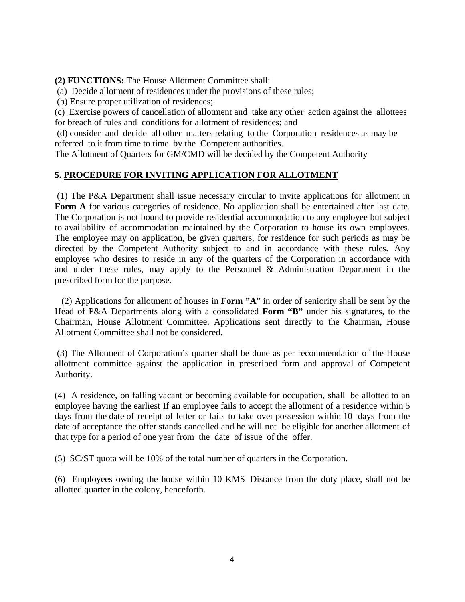**(2) FUNCTIONS:** The House Allotment Committee shall:

(a) Decide allotment of residences under the provisions of these rules;

(b) Ensure proper utilization of residences;

(c) Exercise powers of cancellation of allotment and take any other action against the allottees for breach of rules and conditions for allotment of residences; and

 (d) consider and decide all other matters relating to the Corporation residences as may be referred to it from time to time by the Competent authorities.

The Allotment of Quarters for GM/CMD will be decided by the Competent Authority

## **5. PROCEDURE FOR INVITING APPLICATION FOR ALLOTMENT**

 (1) The P&A Department shall issue necessary circular to invite applications for allotment in Form A for various categories of residence. No application shall be entertained after last date. The Corporation is not bound to provide residential accommodation to any employee but subject to availability of accommodation maintained by the Corporation to house its own employees. The employee may on application, be given quarters, for residence for such periods as may be directed by the Competent Authority subject to and in accordance with these rules. Any employee who desires to reside in any of the quarters of the Corporation in accordance with and under these rules, may apply to the Personnel & Administration Department in the prescribed form for the purpose.

 (2) Applications for allotment of houses in **Form "A**" in order of seniority shall be sent by the Head of P&A Departments along with a consolidated **Form "B"** under his signatures, to the Chairman, House Allotment Committee. Applications sent directly to the Chairman, House Allotment Committee shall not be considered.

 (3) The Allotment of Corporation's quarter shall be done as per recommendation of the House allotment committee against the application in prescribed form and approval of Competent Authority.

(4) A residence, on falling vacant or becoming available for occupation, shall be allotted to an employee having the earliest If an employee fails to accept the allotment of a residence within 5 days from the date of receipt of letter or fails to take over possession within 10 days from the date of acceptance the offer stands cancelled and he will not be eligible for another allotment of that type for a period of one year from the date of issue of the offer.

(5) SC/ST quota will be 10% of the total number of quarters in the Corporation.

(6) Employees owning the house within 10 KMS Distance from the duty place, shall not be allotted quarter in the colony, henceforth.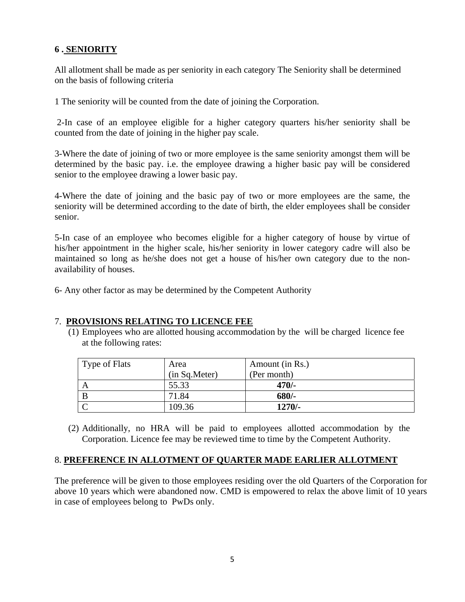## **6 . SENIORITY**

All allotment shall be made as per seniority in each category The Seniority shall be determined on the basis of following criteria

1 The seniority will be counted from the date of joining the Corporation.

 2-In case of an employee eligible for a higher category quarters his/her seniority shall be counted from the date of joining in the higher pay scale.

3-Where the date of joining of two or more employee is the same seniority amongst them will be determined by the basic pay. i.e. the employee drawing a higher basic pay will be considered senior to the employee drawing a lower basic pay.

4-Where the date of joining and the basic pay of two or more employees are the same, the seniority will be determined according to the date of birth, the elder employees shall be consider senior.

5-In case of an employee who becomes eligible for a higher category of house by virtue of his/her appointment in the higher scale, his/her seniority in lower category cadre will also be maintained so long as he/she does not get a house of his/her own category due to the nonavailability of houses.

6- Any other factor as may be determined by the Competent Authority

## 7. **PROVISIONS RELATING TO LICENCE FEE**

(1) Employees who are allotted housing accommodation by the will be charged licence fee at the following rates:

| Type of Flats | Area          | Amount (in Rs.) |
|---------------|---------------|-----------------|
|               | (in Sq.Meter) | (Per month)     |
|               | 55.33         | $470/-$         |
| B             | 71.84         | $680/-$         |
|               | 109.36        | $1270/-$        |

(2) Additionally, no HRA will be paid to employees allotted accommodation by the Corporation. Licence fee may be reviewed time to time by the Competent Authority.

## 8. **PREFERENCE IN ALLOTMENT OF QUARTER MADE EARLIER ALLOTMENT**

The preference will be given to those employees residing over the old Quarters of the Corporation for above 10 years which were abandoned now. CMD is empowered to relax the above limit of 10 years in case of employees belong to PwDs only.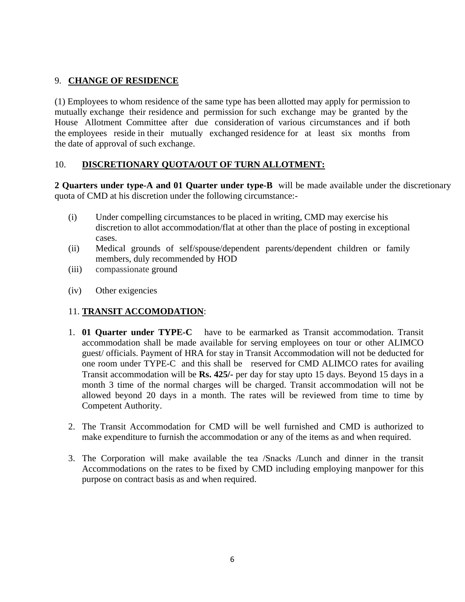## 9. **CHANGE OF RESIDENCE**

(1) Employees to whom residence of the same type has been allotted may apply for permission to mutually exchange their residence and permission for such exchange may be granted by the House Allotment Committee after due consideration of various circumstances and if both the employees reside in their mutually exchanged residence for at least six months from the date of approval of such exchange.

## 10. **DISCRETIONARY QUOTA/OUT OF TURN ALLOTMENT:**

**2 Quarters under type-A and 01 Quarter under type-B** will be made available under the discretionary quota of CMD at his discretion under the following circumstance:-

- (i) Under compelling circumstances to be placed in writing, CMD may exercise his discretion to allot accommodation/flat at other than the place of posting in exceptional cases.
- (ii) Medical grounds of self/spouse/dependent parents/dependent children or family members, duly recommended by HOD
- (iii) compassionate ground
- (iv) Other exigencies

## 11. **TRANSIT ACCOMODATION**:

- 1. **01 Quarter under TYPE-C** have to be earmarked as Transit accommodation. Transit accommodation shall be made available for serving employees on tour or other ALIMCO guest/ officials. Payment of HRA for stay in Transit Accommodation will not be deducted for one room under TYPE-C and this shall be reserved for CMD ALIMCO rates for availing Transit accommodation will be **Rs. 425/-** per day for stay upto 15 days. Beyond 15 days in a month 3 time of the normal charges will be charged. Transit accommodation will not be allowed beyond 20 days in a month. The rates will be reviewed from time to time by Competent Authority.
- 2. The Transit Accommodation for CMD will be well furnished and CMD is authorized to make expenditure to furnish the accommodation or any of the items as and when required.
- 3. The Corporation will make available the tea /Snacks /Lunch and dinner in the transit Accommodations on the rates to be fixed by CMD including employing manpower for this purpose on contract basis as and when required.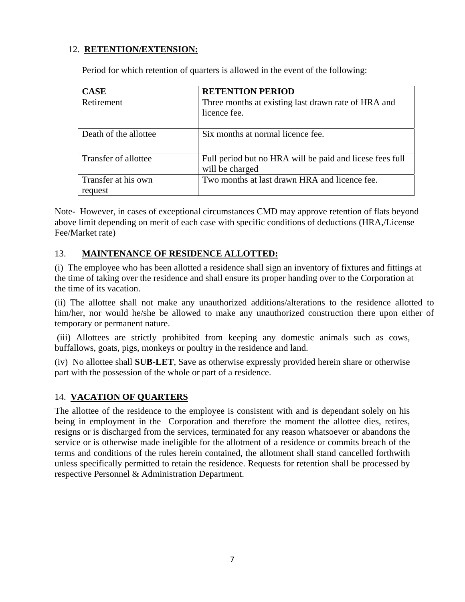### 12. **RETENTION/EXTENSION:**

Period for which retention of quarters is allowed in the event of the following:

| <b>CASE</b>                    | <b>RETENTION PERIOD</b>                                                     |
|--------------------------------|-----------------------------------------------------------------------------|
| Retirement                     | Three months at existing last drawn rate of HRA and<br>licence fee.         |
| Death of the allottee          | Six months at normal licence fee.                                           |
| Transfer of allottee           | Full period but no HRA will be paid and licese fees full<br>will be charged |
| Transfer at his own<br>request | Two months at last drawn HRA and licence fee.                               |

Note- However, in cases of exceptional circumstances CMD may approve retention of flats beyond above limit depending on merit of each case with specific conditions of deductions (HRA,/License Fee/Market rate)

## 13. **MAINTENANCE OF RESIDENCE ALLOTTED:**

(i) The employee who has been allotted a residence shall sign an inventory of fixtures and fittings at the time of taking over the residence and shall ensure its proper handing over to the Corporation at the time of its vacation.

(ii) The allottee shall not make any unauthorized additions/alterations to the residence allotted to him/her, nor would he/she be allowed to make any unauthorized construction there upon either of temporary or permanent nature.

 (iii) Allottees are strictly prohibited from keeping any domestic animals such as cows, buffallows, goats, pigs, monkeys or poultry in the residence and land.

(iv) No allottee shall **SUB-LET**, Save as otherwise expressly provided herein share or otherwise part with the possession of the whole or part of a residence.

## 14. **VACATION OF QUARTERS**

The allottee of the residence to the employee is consistent with and is dependant solely on his being in employment in the Corporation and therefore the moment the allottee dies, retires, resigns or is discharged from the services, terminated for any reason whatsoever or abandons the service or is otherwise made ineligible for the allotment of a residence or commits breach of the terms and conditions of the rules herein contained, the allotment shall stand cancelled forthwith unless specifically permitted to retain the residence. Requests for retention shall be processed by respective Personnel & Administration Department.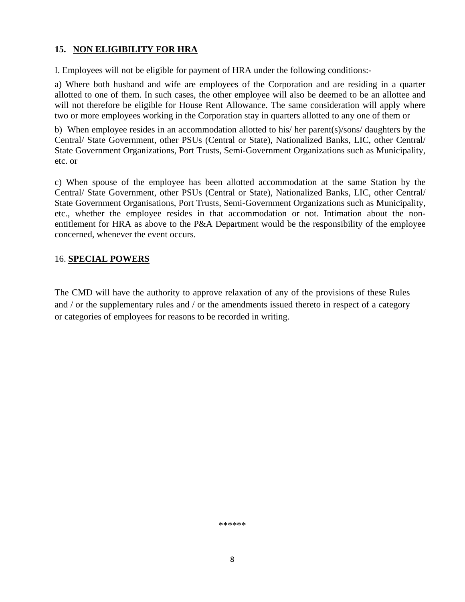## **15. NON ELIGIBILITY FOR HRA**

I. Employees will not be eligible for payment of HRA under the following conditions:-

a) Where both husband and wife are employees of the Corporation and are residing in a quarter allotted to one of them. In such cases, the other employee will also be deemed to be an allottee and will not therefore be eligible for House Rent Allowance. The same consideration will apply where two or more employees working in the Corporation stay in quarters allotted to any one of them or

b) When employee resides in an accommodation allotted to his/ her parent(s)/sons/ daughters by the Central/ State Government, other PSUs (Central or State), Nationalized Banks, LIC, other Central/ State Government Organizations, Port Trusts, Semi-Government Organizations such as Municipality, etc. or

c) When spouse of the employee has been allotted accommodation at the same Station by the Central/ State Government, other PSUs (Central or State), Nationalized Banks, LIC, other Central/ State Government Organisations, Port Trusts, Semi-Government Organizations such as Municipality, etc., whether the employee resides in that accommodation or not. Intimation about the nonentitlement for HRA as above to the P&A Department would be the responsibility of the employee concerned, whenever the event occurs.

## 16. **SPECIAL POWERS**

The CMD will have the authority to approve relaxation of any of the provisions of these Rules and / or the supplementary rules and / or the amendments issued thereto in respect of a category or categories of employees for reasons to be recorded in writing.

\*\*\*\*\*\*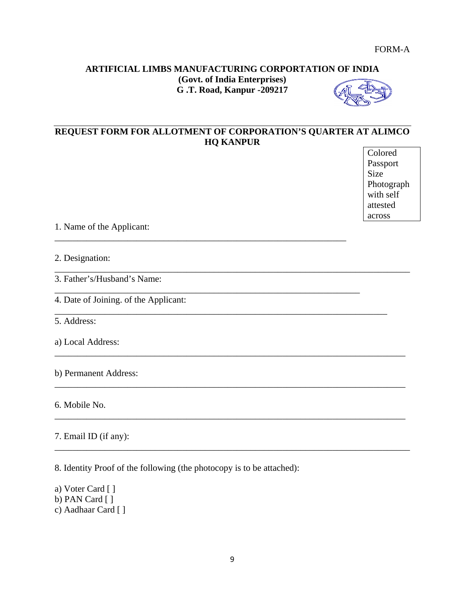## **ARTIFICIAL LIMBS MANUFACTURING CORPORTATION OF INDIA (Govt. of India Enterprises) G .T. Road, Kanpur -209217**



# **REQUEST FORM FOR ALLOTMENT OF CORPORATION'S QUARTER AT ALIMCO HQ KANPUR**

\_\_\_\_\_\_\_\_\_\_\_\_\_\_\_\_\_\_\_\_\_\_\_\_\_\_\_\_\_\_\_\_\_\_\_\_\_\_\_\_\_\_\_\_\_\_\_\_\_\_\_\_\_\_\_\_\_\_\_\_\_\_\_\_\_\_\_\_\_\_\_\_\_\_\_\_\_\_

\_\_\_\_\_\_\_\_\_\_\_\_\_\_\_\_\_\_\_\_\_\_\_\_\_\_\_\_\_\_\_\_\_\_\_\_\_\_\_\_\_\_\_\_\_\_\_\_\_\_\_\_\_\_\_\_\_\_\_\_\_\_\_\_

\_\_\_\_\_\_\_\_\_\_\_\_\_\_\_\_\_\_\_\_\_\_\_\_\_\_\_\_\_\_\_\_\_\_\_\_\_\_\_\_\_\_\_\_\_\_\_\_\_\_\_\_\_\_\_\_\_\_\_\_\_\_\_\_\_\_\_

\_\_\_\_\_\_\_\_\_\_\_\_\_\_\_\_\_\_\_\_\_\_\_\_\_\_\_\_\_\_\_\_\_\_\_\_\_\_\_\_\_\_\_\_\_\_\_\_\_\_\_\_\_\_\_\_\_\_\_\_\_\_\_\_\_\_\_\_\_\_\_\_\_

\_\_\_\_\_\_\_\_\_\_\_\_\_\_\_\_\_\_\_\_\_\_\_\_\_\_\_\_\_\_\_\_\_\_\_\_\_\_\_\_\_\_\_\_\_\_\_\_\_\_\_\_\_\_\_\_\_\_\_\_\_\_\_\_\_\_\_\_\_\_\_\_\_\_\_\_\_

\_\_\_\_\_\_\_\_\_\_\_\_\_\_\_\_\_\_\_\_\_\_\_\_\_\_\_\_\_\_\_\_\_\_\_\_\_\_\_\_\_\_\_\_\_\_\_\_\_\_\_\_\_\_\_\_\_\_\_\_\_\_\_\_\_\_\_\_\_\_\_\_\_\_\_\_\_

\_\_\_\_\_\_\_\_\_\_\_\_\_\_\_\_\_\_\_\_\_\_\_\_\_\_\_\_\_\_\_\_\_\_\_\_\_\_\_\_\_\_\_\_\_\_\_\_\_\_\_\_\_\_\_\_\_\_\_\_\_\_\_\_\_\_\_\_\_\_\_\_\_\_\_\_\_

\_\_\_\_\_\_\_\_\_\_\_\_\_\_\_\_\_\_\_\_\_\_\_\_\_\_\_\_\_\_\_\_\_\_\_\_\_\_\_\_\_\_\_\_\_\_\_\_\_\_\_\_\_\_\_\_\_\_\_\_\_\_\_\_\_\_\_\_\_\_\_\_\_\_\_\_\_\_

Colored Passport Size Photograph with self attested across

1. Name of the Applicant:

2. Designation:

3. Father's/Husband's Name:

4. Date of Joining. of the Applicant:

5. Address:

a) Local Address:

b) Permanent Address:

6. Mobile No.

7. Email ID (if any):

8. Identity Proof of the following (the photocopy is to be attached):

a) Voter Card [ ] b) PAN Card [ ] c) Aadhaar Card [ ]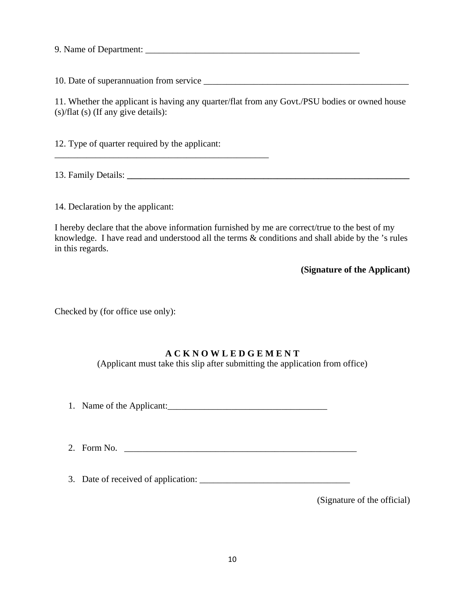9. Name of Department: \_\_\_\_\_\_\_\_\_\_\_\_\_\_\_\_\_\_\_\_\_\_\_\_\_\_\_\_\_\_\_\_\_\_\_\_\_\_\_\_\_\_\_\_\_\_\_

10. Date of superannuation from service \_\_\_\_\_\_\_\_\_\_\_\_\_\_\_\_\_\_\_\_\_\_\_\_\_\_\_\_\_\_\_\_\_\_\_\_\_\_\_\_\_\_\_\_\_

11. Whether the applicant is having any quarter/flat from any Govt./PSU bodies or owned house (s)/flat (s) (If any give details):

12. Type of quarter required by the applicant:

\_\_\_\_\_\_\_\_\_\_\_\_\_\_\_\_\_\_\_\_\_\_\_\_\_\_\_\_\_\_\_\_\_\_\_\_\_\_\_\_\_\_\_\_\_\_\_

13. Family Details: **\_\_\_\_\_\_\_\_\_\_\_\_\_\_\_\_\_\_\_\_\_\_\_\_\_\_\_\_\_\_\_\_\_\_\_\_\_\_\_\_\_\_\_\_\_\_\_\_\_\_\_\_\_\_\_\_\_\_\_\_\_\_**

14. Declaration by the applicant:

I hereby declare that the above information furnished by me are correct/true to the best of my knowledge. I have read and understood all the terms & conditions and shall abide by the 's rules in this regards.

**(Signature of the Applicant)** 

Checked by (for office use only):

## **A C K N O W L E D G E M E N T**

(Applicant must take this slip after submitting the application from office)

- 1. Name of the Applicant:\_\_\_\_\_\_\_\_\_\_\_\_\_\_\_\_\_\_\_\_\_\_\_\_\_\_\_\_\_\_\_\_\_\_\_
- 2. Form No. \_\_\_\_\_\_\_\_\_\_\_\_\_\_\_\_\_\_\_\_\_\_\_\_\_\_\_\_\_\_\_\_\_\_\_\_\_\_\_\_\_\_\_\_\_\_\_\_\_\_\_

3. Date of received of application: \_\_\_\_\_\_\_\_\_\_\_\_\_\_\_\_\_\_\_\_\_\_\_\_\_\_\_\_\_\_\_\_\_

(Signature of the official)